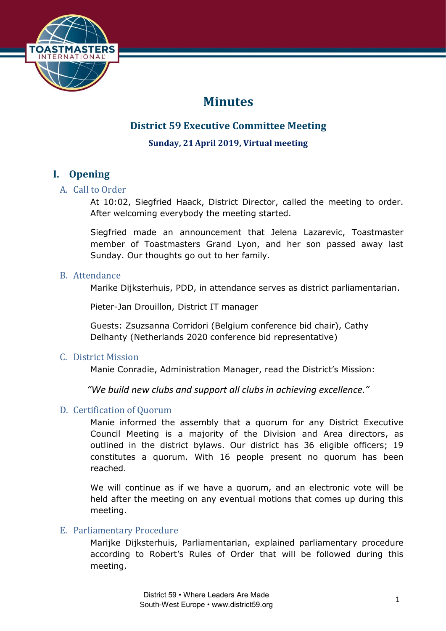

# **Minutes**

# **District 59 Executive Committee Meeting**

**Sunday, 21April 2019, Virtual meeting**

# **I. Opening**

# A. Call to Order

At 10:02, Siegfried Haack, District Director, called the meeting to order. After welcoming everybody the meeting started.

Siegfried made an announcement that Jelena Lazarevic, Toastmaster member of Toastmasters Grand Lyon, and her son passed away last Sunday. Our thoughts go out to her family.

# B. Attendance

Marike Dijksterhuis, PDD, in attendance serves as district parliamentarian.

Pieter-Jan Drouillon, District IT manager

Guests: Zsuzsanna Corridori (Belgium conference bid chair), Cathy Delhanty (Netherlands 2020 conference bid representative)

# C. District Mission

Manie Conradie, Administration Manager, read the District's Mission:

*"We build new clubs and support all clubs in achieving excellence."*

# D. Certification of Quorum

Manie informed the assembly that a quorum for any District Executive Council Meeting is a majority of the Division and Area directors, as outlined in the district bylaws. Our district has 36 eligible officers; 19 constitutes a quorum. With 16 people present no quorum has been reached.

We will continue as if we have a quorum, and an electronic vote will be held after the meeting on any eventual motions that comes up during this meeting.

# E. Parliamentary Procedure

Marijke Dijksterhuis, Parliamentarian, explained parliamentary procedure according to Robert's Rules of Order that will be followed during this meeting.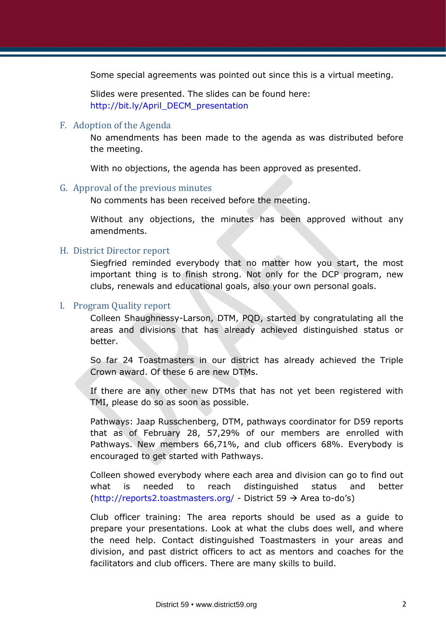Some special agreements was pointed out since this is a virtual meeting.

Slides were presented. The slides can be found here: [http://bit.ly/April\\_DECM\\_presentation](http://bit.ly/April_DECM_presentation)

#### F. Adoption of the Agenda

No amendments has been made to the agenda as was distributed before the meeting.

With no objections, the agenda has been approved as presented.

#### G. Approval of the previous minutes

No comments has been received before the meeting.

Without any objections, the minutes has been approved without any amendments.

#### H. District Director report

Siegfried reminded everybody that no matter how you start, the most important thing is to finish strong. Not only for the DCP program, new clubs, renewals and educational goals, also your own personal goals.

#### I. Program Quality report

Colleen Shaughnessy-Larson, DTM, PQD, started by congratulating all the areas and divisions that has already achieved distinguished status or better.

So far 24 Toastmasters in our district has already achieved the Triple Crown award. Of these 6 are new DTMs.

If there are any other new DTMs that has not yet been registered with TMI, please do so as soon as possible.

Pathways: Jaap Russchenberg, DTM, pathways coordinator for D59 reports that as of February 28, 57,29% of our members are enrolled with Pathways. New members 66,71%, and club officers 68%. Everybody is encouraged to get started with Pathways.

Colleen showed everybody where each area and division can go to find out what is needed to reach distinguished status and better [\(http://reports2.toastmasters.org/](http://reports2.toastmasters.org/) - District 59  $\rightarrow$  Area to-do's)

Club officer training: The area reports should be used as a guide to prepare your presentations. Look at what the clubs does well, and where the need help. Contact distinguished Toastmasters in your areas and division, and past district officers to act as mentors and coaches for the facilitators and club officers. There are many skills to build.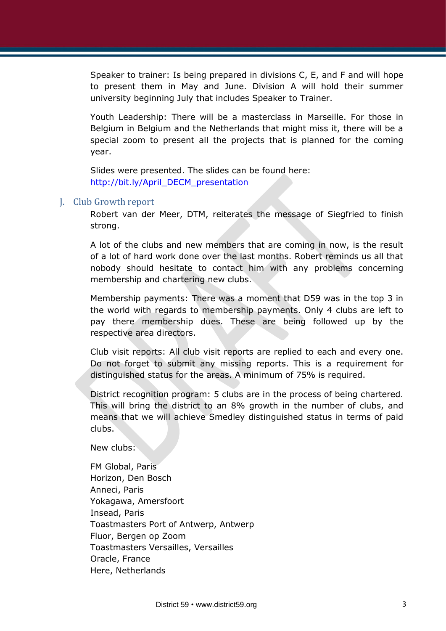Speaker to trainer: Is being prepared in divisions C, E, and F and will hope to present them in May and June. Division A will hold their summer university beginning July that includes Speaker to Trainer.

Youth Leadership: There will be a masterclass in Marseille. For those in Belgium in Belgium and the Netherlands that might miss it, there will be a special zoom to present all the projects that is planned for the coming year.

Slides were presented. The slides can be found here: [http://bit.ly/April\\_DECM\\_presentation](http://bit.ly/April_DECM_presentation)

### J. Club Growth report

Robert van der Meer, DTM, reiterates the message of Siegfried to finish strong.

A lot of the clubs and new members that are coming in now, is the result of a lot of hard work done over the last months. Robert reminds us all that nobody should hesitate to contact him with any problems concerning membership and chartering new clubs.

Membership payments: There was a moment that D59 was in the top 3 in the world with regards to membership payments. Only 4 clubs are left to pay there membership dues. These are being followed up by the respective area directors.

Club visit reports: All club visit reports are replied to each and every one. Do not forget to submit any missing reports. This is a requirement for distinguished status for the areas. A minimum of 75% is required.

District recognition program: 5 clubs are in the process of being chartered. This will bring the district to an 8% growth in the number of clubs, and means that we will achieve Smedley distinguished status in terms of paid clubs.

New clubs:

FM Global, Paris Horizon, Den Bosch Anneci, Paris Yokagawa, Amersfoort Insead, Paris Toastmasters Port of Antwerp, Antwerp Fluor, Bergen op Zoom Toastmasters Versailles, Versailles Oracle, France Here, Netherlands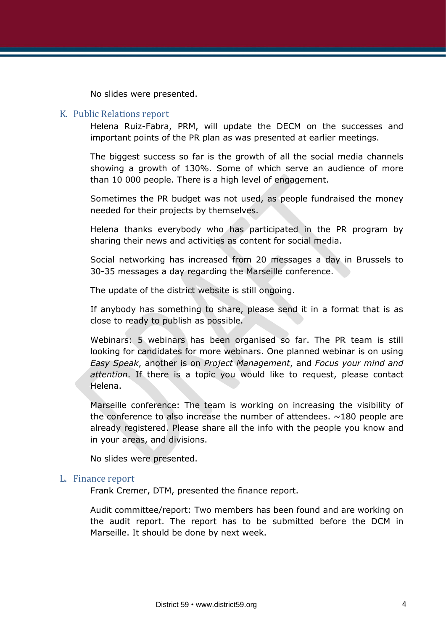No slides were presented.

#### K. Public Relations report

Helena Ruiz-Fabra, PRM, will update the DECM on the successes and important points of the PR plan as was presented at earlier meetings.

The biggest success so far is the growth of all the social media channels showing a growth of 130%. Some of which serve an audience of more than 10 000 people. There is a high level of engagement.

Sometimes the PR budget was not used, as people fundraised the money needed for their projects by themselves.

Helena thanks everybody who has participated in the PR program by sharing their news and activities as content for social media.

Social networking has increased from 20 messages a day in Brussels to 30-35 messages a day regarding the Marseille conference.

The update of the district website is still ongoing.

If anybody has something to share, please send it in a format that is as close to ready to publish as possible.

Webinars: 5 webinars has been organised so far. The PR team is still looking for candidates for more webinars. One planned webinar is on using *Easy Speak*, another is on *Project Management*, and *Focus your mind and attention*. If there is a topic you would like to request, please contact Helena.

Marseille conference: The team is working on increasing the visibility of the conference to also increase the number of attendees.  $\sim$ 180 people are already registered. Please share all the info with the people you know and in your areas, and divisions.

No slides were presented.

#### L. Finance report

Frank Cremer, DTM, presented the finance report.

Audit committee/report: Two members has been found and are working on the audit report. The report has to be submitted before the DCM in Marseille. It should be done by next week.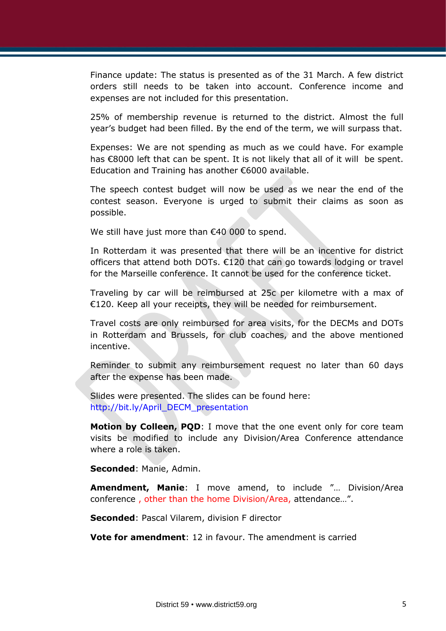Finance update: The status is presented as of the 31 March. A few district orders still needs to be taken into account. Conference income and expenses are not included for this presentation.

25% of membership revenue is returned to the district. Almost the full year's budget had been filled. By the end of the term, we will surpass that.

Expenses: We are not spending as much as we could have. For example has €8000 left that can be spent. It is not likely that all of it will be spent. Education and Training has another €6000 available.

The speech contest budget will now be used as we near the end of the contest season. Everyone is urged to submit their claims as soon as possible.

We still have just more than €40 000 to spend.

In Rotterdam it was presented that there will be an incentive for district officers that attend both DOTs. €120 that can go towards lodging or travel for the Marseille conference. It cannot be used for the conference ticket.

Traveling by car will be reimbursed at 25c per kilometre with a max of €120. Keep all your receipts, they will be needed for reimbursement.

Travel costs are only reimbursed for area visits, for the DECMs and DOTs in Rotterdam and Brussels, for club coaches, and the above mentioned incentive.

Reminder to submit any reimbursement request no later than 60 days after the expense has been made.

Slides were presented. The slides can be found here: [http://bit.ly/April\\_DECM\\_presentation](http://bit.ly/April_DECM_presentation)

**Motion by Colleen, POD:** I move that the one event only for core team visits be modified to include any Division/Area Conference attendance where a role is taken.

**Seconded**: Manie, Admin.

**Amendment, Manie**: I move amend, to include "… Division/Area conference , other than the home Division/Area, attendance…".

**Seconded**: Pascal Vilarem, division F director

**Vote for amendment**: 12 in favour. The amendment is carried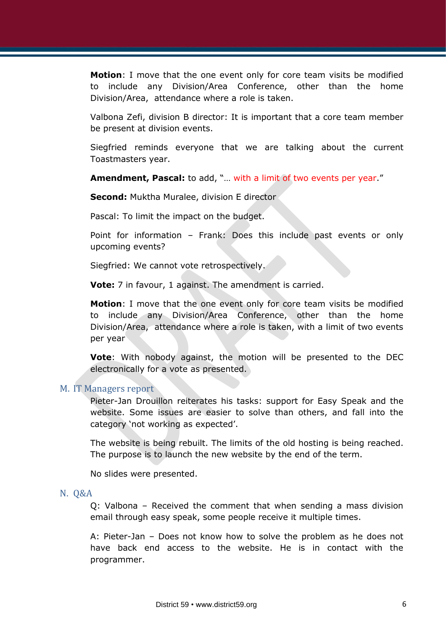**Motion**: I move that the one event only for core team visits be modified to include any Division/Area Conference, other than the home Division/Area, attendance where a role is taken.

Valbona Zefi, division B director: It is important that a core team member be present at division events.

Siegfried reminds everyone that we are talking about the current Toastmasters year.

**Amendment, Pascal:** to add, "... with a limit of two events per year."

**Second:** Muktha Muralee, division E director

Pascal: To limit the impact on the budget.

Point for information – Frank: Does this include past events or only upcoming events?

Siegfried: We cannot vote retrospectively.

**Vote:** 7 in favour, 1 against. The amendment is carried.

**Motion**: I move that the one event only for core team visits be modified to include any Division/Area Conference, other than the home Division/Area, attendance where a role is taken, with a limit of two events per year

**Vote**: With nobody against, the motion will be presented to the DEC electronically for a vote as presented.

#### M. IT Managers report

Pieter-Jan Drouillon reiterates his tasks: support for Easy Speak and the website. Some issues are easier to solve than others, and fall into the category 'not working as expected'.

The website is being rebuilt. The limits of the old hosting is being reached. The purpose is to launch the new website by the end of the term.

No slides were presented.

#### N. Q&A

Q: Valbona – Received the comment that when sending a mass division email through easy speak, some people receive it multiple times.

A: Pieter-Jan – Does not know how to solve the problem as he does not have back end access to the website. He is in contact with the programmer.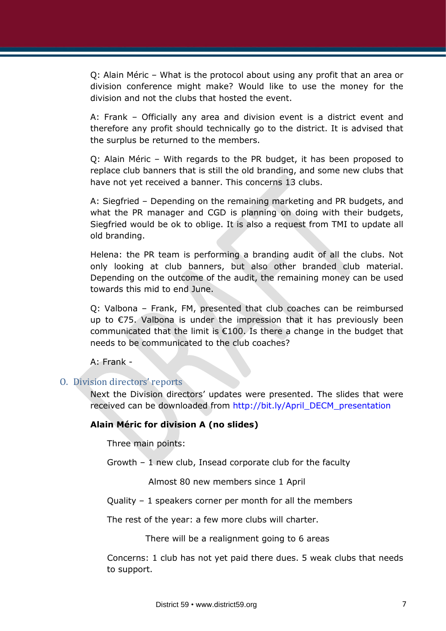Q: Alain Méric – What is the protocol about using any profit that an area or division conference might make? Would like to use the money for the division and not the clubs that hosted the event.

A: Frank – Officially any area and division event is a district event and therefore any profit should technically go to the district. It is advised that the surplus be returned to the members.

Q: Alain Méric – With regards to the PR budget, it has been proposed to replace club banners that is still the old branding, and some new clubs that have not yet received a banner. This concerns 13 clubs.

A: Siegfried – Depending on the remaining marketing and PR budgets, and what the PR manager and CGD is planning on doing with their budgets, Siegfried would be ok to oblige. It is also a request from TMI to update all old branding.

Helena: the PR team is performing a branding audit of all the clubs. Not only looking at club banners, but also other branded club material. Depending on the outcome of the audit, the remaining money can be used towards this mid to end June.

Q: Valbona – Frank, FM, presented that club coaches can be reimbursed up to €75. Valbona is under the impression that it has previously been communicated that the limit is €100. Is there a change in the budget that needs to be communicated to the club coaches?

A: Frank -

# O. Division directors' reports

Next the Division directors' updates were presented. The slides that were received can be downloaded from [http://bit.ly/April\\_DECM\\_presentation](http://bit.ly/April_DECM_presentation)

#### **Alain Méric for division A (no slides)**

Three main points:

Growth – 1 new club, Insead corporate club for the faculty

Almost 80 new members since 1 April

Quality – 1 speakers corner per month for all the members

The rest of the year: a few more clubs will charter.

There will be a realignment going to 6 areas

Concerns: 1 club has not yet paid there dues. 5 weak clubs that needs to support.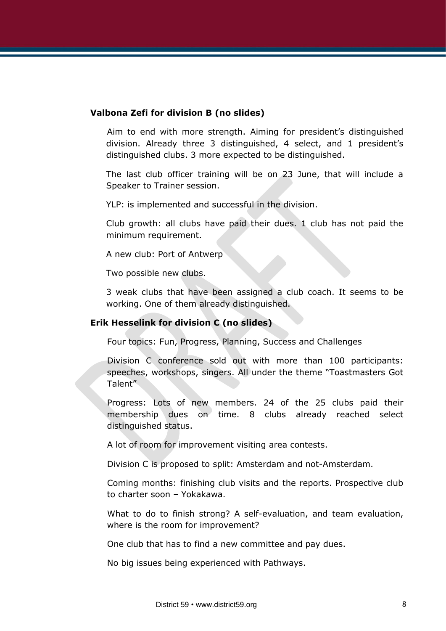### **Valbona Zefi for division B (no slides)**

Aim to end with more strength. Aiming for president's distinguished division. Already three 3 distinguished, 4 select, and 1 president's distinguished clubs. 3 more expected to be distinguished.

The last club officer training will be on 23 June, that will include a Speaker to Trainer session.

YLP: is implemented and successful in the division.

Club growth: all clubs have paid their dues. 1 club has not paid the minimum requirement.

A new club: Port of Antwerp

Two possible new clubs.

3 weak clubs that have been assigned a club coach. It seems to be working. One of them already distinguished.

# **Erik Hesselink for division C (no slides)**

Four topics: Fun, Progress, Planning, Success and Challenges

Division C conference sold out with more than 100 participants: speeches, workshops, singers. All under the theme "Toastmasters Got Talent"

Progress: Lots of new members. 24 of the 25 clubs paid their membership dues on time. 8 clubs already reached select distinguished status.

A lot of room for improvement visiting area contests.

Division C is proposed to split: Amsterdam and not-Amsterdam.

Coming months: finishing club visits and the reports. Prospective club to charter soon – Yokakawa.

What to do to finish strong? A self-evaluation, and team evaluation, where is the room for improvement?

One club that has to find a new committee and pay dues.

No big issues being experienced with Pathways.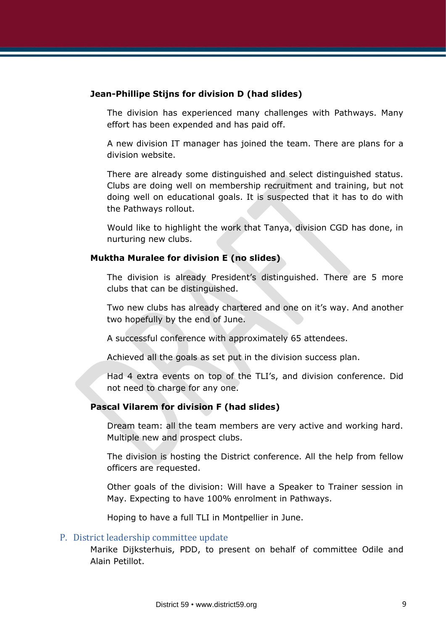### **Jean-Phillipe Stijns for division D (had slides)**

The division has experienced many challenges with Pathways. Many effort has been expended and has paid off.

A new division IT manager has joined the team. There are plans for a division website.

There are already some distinguished and select distinguished status. Clubs are doing well on membership recruitment and training, but not doing well on educational goals. It is suspected that it has to do with the Pathways rollout.

Would like to highlight the work that Tanya, division CGD has done, in nurturing new clubs.

### **Muktha Muralee for division E (no slides)**

The division is already President's distinguished. There are 5 more clubs that can be distinguished.

Two new clubs has already chartered and one on it's way. And another two hopefully by the end of June.

A successful conference with approximately 65 attendees.

Achieved all the goals as set put in the division success plan.

Had 4 extra events on top of the TLI's, and division conference. Did not need to charge for any one.

# **Pascal Vilarem for division F (had slides)**

Dream team: all the team members are very active and working hard. Multiple new and prospect clubs.

The division is hosting the District conference. All the help from fellow officers are requested.

Other goals of the division: Will have a Speaker to Trainer session in May. Expecting to have 100% enrolment in Pathways.

Hoping to have a full TLI in Montpellier in June.

# P. District leadership committee update

Marike Dijksterhuis, PDD, to present on behalf of committee Odile and Alain Petillot.